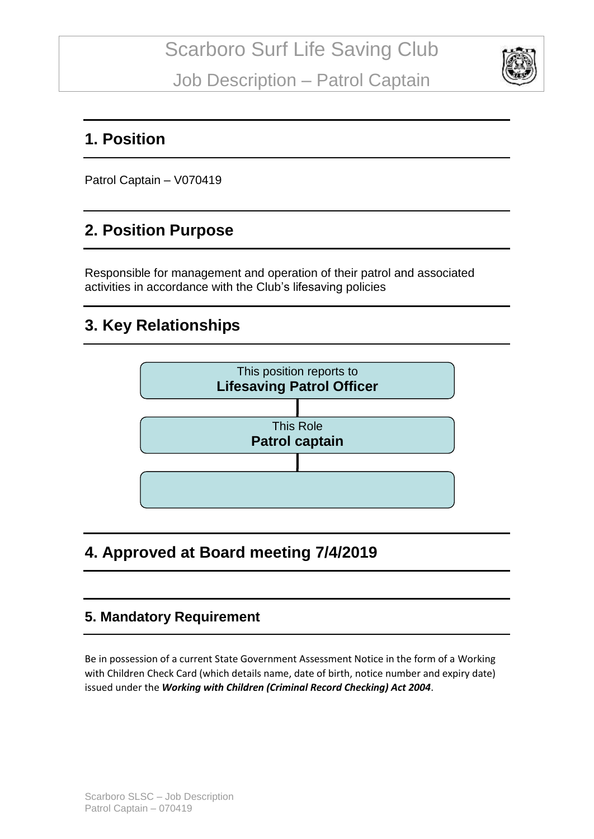

### **1. Position**

Patrol Captain – V070419

### **2. Position Purpose**

Responsible for management and operation of their patrol and associated activities in accordance with the Club's lifesaving policies

# **3. Key Relationships**



## **4. Approved at Board meeting 7/4/2019**

### **5. Mandatory Requirement**

Be in possession of a current State Government Assessment Notice in the form of a Working with Children Check Card (which details name, date of birth, notice number and expiry date) issued under the *Working with Children (Criminal Record Checking) Act 2004*.